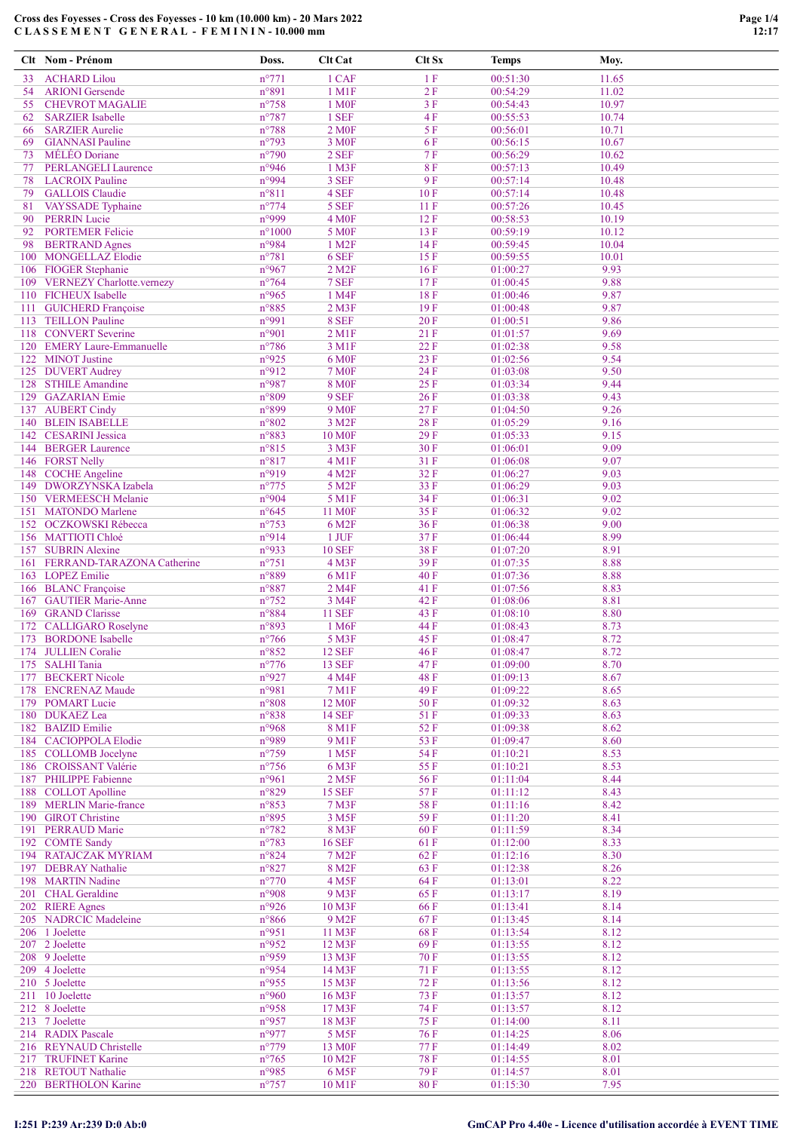# Cross des Foyesses - Cross des Foyesses - 10 km (10.000 km) - 20 Mars 2022 C L A S S E M E N T G E N E R A L - F E M I N I N - 10.000 mm

|          | Clt Nom - Prénom                                      | Doss.                    | <b>Clt Cat</b>                  | Clt Sx          | <b>Temps</b>         | Moy.           |
|----------|-------------------------------------------------------|--------------------------|---------------------------------|-----------------|----------------------|----------------|
| 33       | <b>ACHARD Lilou</b>                                   | $n^{\circ}771$           | 1 CAF                           | 1F              | 00:51:30             | 11.65          |
| 54       | <b>ARIONI</b> Gersende                                | n°891                    | 1 M1F                           | 2F              | 00:54:29             | 11.02          |
| 55       | <b>CHEVROT MAGALIE</b>                                | $n^{\circ}758$           | 1 M <sub>OF</sub>               | 3F              | 00:54:43             | 10.97          |
| 62       | <b>SARZIER</b> Isabelle                               | $n^{\circ}787$           | 1 SEF                           | 4F              | 00:55:53             | 10.74          |
| 66       | <b>SARZIER Aurelie</b>                                | $n^{\circ}788$           | 2 M <sub>OF</sub>               | 5F              | 00:56:01             | 10.71          |
| 69       | <b>GIANNASI</b> Pauline                               | $n^{\circ}$ 793          | 3 M <sub>OF</sub>               | 6F              | 00:56:15             | 10.67          |
| 73<br>77 | MÉLÉO Doriane<br><b>PERLANGELI Laurence</b>           | $n^{\circ}$ 790<br>n°946 | 2 SEF<br>$1$ M3F                | 7F<br><b>8F</b> | 00:56:29<br>00:57:13 | 10.62<br>10.49 |
| 78       | <b>LACROIX Pauline</b>                                | n°994                    | 3 SEF                           | 9F              | 00:57:14             | 10.48          |
| 79       | <b>GALLOIS</b> Claudie                                | $n^{\circ}811$           | 4 SEF                           | 10F             | 00:57:14             | 10.48          |
| 81       | <b>VAYSSADE</b> Typhaine                              | $n^{\circ}774$           | 5 SEF                           | 11F             | 00:57:26             | 10.45          |
| 90       | <b>PERRIN Lucie</b>                                   | n°999                    | <b>4 M0F</b>                    | 12F             | 00:58:53             | 10.19          |
| 92       | <b>PORTEMER Felicie</b>                               | $n^{\circ}1000$          | 5 M <sub>OF</sub>               | 13F             | 00:59:19             | 10.12          |
| 98       | <b>BERTRAND</b> Agnes                                 | n°984                    | 1 M <sub>2</sub> F              | 14 F            | 00:59:45             | 10.04          |
|          | 100 MONGELLAZ Elodie                                  | $n^{\circ}781$           | 6 SEF                           | 15F             | 00:59:55             | 10.01          |
|          | 106 FIOGER Stephanie<br>109 VERNEZY Charlotte.vernezy | n°967<br>$n^{\circ}$ 764 | $2$ M <sub>2</sub> $F$<br>7 SEF | 16F<br>17F      | 01:00:27<br>01:00:45 | 9.93<br>9.88   |
|          | 110 FICHEUX Isabelle                                  | n°965                    | 1 M4F                           | 18F             | 01:00:46             | 9.87           |
| 111      | <b>GUICHERD</b> Françoise                             | $n^{\circ}885$           | $2$ M $3F$                      | 19F             | 01:00:48             | 9.87           |
|          | 113 TEILLON Pauline                                   | n°991                    | 8 SEF                           | 20F             | 01:00:51             | 9.86           |
|          | 118 CONVERT Severine                                  | n°901                    | $2$ M <sub>1</sub> $F$          | 21 F            | 01:01:57             | 9.69           |
|          | 120 EMERY Laure-Emmanuelle                            | $n^{\circ}786$           | 3 M1F                           | 22F             | 01:02:38             | 9.58           |
|          | 122 MINOT Justine                                     | n°925                    | 6 M <sub>OF</sub>               | 23F             | 01:02:56             | 9.54           |
|          | 125 DUVERT Audrey                                     | n°912                    | <b>7 M0F</b>                    | 24 F            | 01:03:08             | 9.50           |
|          | 128 STHILE Amandine<br>129 GAZARIAN Emie              | n°987<br>$n^{\circ}809$  | <b>8 MOF</b><br>9 SEF           | 25F<br>26 F     | 01:03:34<br>01:03:38 | 9.44<br>9.43   |
|          | 137 AUBERT Cindy                                      | n°899                    | 9 M <sub>OF</sub>               | 27F             | 01:04:50             | 9.26           |
|          | 140 BLEIN ISABELLE                                    | $n^{\circ}802$           | 3 M <sub>2F</sub>               | <b>28F</b>      | 01:05:29             | 9.16           |
|          | 142 CESARINI Jessica                                  | n°883                    | <b>10 MOF</b>                   | 29F             | 01:05:33             | 9.15           |
|          | 144 BERGER Laurence                                   | $n^{\circ}815$           | 3 M3F                           | 30F             | 01:06:01             | 9.09           |
|          | 146 FORST Nelly                                       | n°817                    | 4 M1F                           | 31 F            | 01:06:08             | 9.07           |
|          | 148 COCHE Angeline                                    | n°919                    | 4 M <sub>2F</sub>               | 32F             | 01:06:27             | 9.03           |
|          | 149 DWORZYNSKA Izabela                                | $n^{\circ}775$           | 5 M <sub>2F</sub>               | 33 F            | 01:06:29             | 9.03           |
|          | 150 VERMEESCH Melanie                                 | n°904                    | 5 M1F                           | 34 F            | 01:06:31             | 9.02           |
|          | 151 MATONDO Marlene                                   | $n^{\circ}645$           | <b>11 MOF</b>                   | 35F             | 01:06:32             | 9.02           |
|          | 152 OCZKOWSKI Rébecca<br>156 MATTIOTI Chloé           | $n^{\circ}753$<br>n°914  | 6 M <sub>2F</sub><br>1 JUF      | 36F<br>37F      | 01:06:38<br>01:06:44 | 9.00<br>8.99   |
|          | 157 SUBRIN Alexine                                    | n°933                    | <b>10 SEF</b>                   | 38F             | 01:07:20             | 8.91           |
|          | 161 FERRAND-TARAZONA Catherine                        | $n^{\circ}751$           | $4$ M3F                         | 39F             | 01:07:35             | 8.88           |
|          | 163 LOPEZ Emilie                                      | n°889                    | 6 M1F                           | 40 F            | 01:07:36             | 8.88           |
|          | 166 BLANC Françoise                                   | n°887                    | 2 M4F                           | 41 F            | 01:07:56             | 8.83           |
|          | 167 GAUTIER Marie-Anne                                | $n^{\circ}752$           | 3 M4F                           | 42 F            | 01:08:06             | 8.81           |
|          | 169 GRAND Clarisse                                    | n°884                    | <b>11 SEF</b>                   | 43 F            | 01:08:10             | 8.80           |
|          | 172 CALLIGARO Roselyne                                | n°893                    | 1 M <sub>6F</sub>               | 44 F            | 01:08:43             | 8.73           |
|          | 173 BORDONE Isabelle                                  | $n^{\circ}766$           | 5 M3F                           | 45 F            | 01:08:47             | 8.72           |
|          | 174 JULLIEN Coralie<br>175 SALHI Tania                | n°852<br>$n^{\circ}776$  | <b>12 SEF</b><br><b>13 SEF</b>  | 46 F<br>47 F    | 01:08:47<br>01:09:00 | 8.72<br>8.70   |
|          | 177 BECKERT Nicole                                    | n°927                    | 4 M4F                           | <b>48F</b>      | 01:09:13             | 8.67           |
|          | 178 ENCRENAZ Maude                                    | n°981                    | 7 M1F                           | 49F             | 01:09:22             | 8.65           |
|          | 179 POMART Lucie                                      | $n^{\circ}808$           | 12 M <sub>OF</sub>              | 50F             | 01:09:32             | 8.63           |
|          | 180 DUKAEZ Lea                                        | n°838                    | <b>14 SEF</b>                   | 51 F            | 01:09:33             | 8.63           |
|          | 182 BAIZID Emilie                                     | n°968                    | 8 M1F                           | 52F             | 01:09:38             | 8.62           |
|          | 184 CACIOPPOLA Elodie                                 | n°989                    | 9 M1F                           | 53 F            | 01:09:47             | 8.60           |
|          | 185 COLLOMB Jocelyne                                  | $n^{\circ}759$           | 1 M <sub>5</sub> F              | 54 F            | 01:10:21             | 8.53           |
|          | 186 CROISSANT Valérie<br>187 PHILIPPE Fabienne        | $n^{\circ}$ 756<br>n°961 | 6 M3F<br>2 M <sub>5F</sub>      | 55F<br>56F      | 01:10:21<br>01:11:04 | 8.53<br>8.44   |
|          | 188 COLLOT Apolline                                   | n°829                    | <b>15 SEF</b>                   | 57F             | 01:11:12             | 8.43           |
|          | 189 MERLIN Marie-france                               | n°853                    | 7 M3F                           | 58F             | 01:11:16             | 8.42           |
|          | 190 GIROT Christine                                   | n°895                    | 3 M <sub>5F</sub>               | 59F             | 01:11:20             | 8.41           |
|          | 191 PERRAUD Marie                                     | $n^{\circ}782$           | 8 M3F                           | 60F             | 01:11:59             | 8.34           |
|          | 192 COMTE Sandy                                       | $n^{\circ}783$           | <b>16 SEF</b>                   | 61 F            | 01:12:00             | 8.33           |
|          | 194 RATAJCZAK MYRIAM                                  | n°824                    | 7 M <sub>2</sub> F              | 62F             | 01:12:16             | 8.30           |
|          | 197 DEBRAY Nathalie                                   | $n^{\circ}827$           | 8 M <sub>2F</sub>               | 63F             | 01:12:38             | 8.26           |
|          | 198 MARTIN Nadine                                     | $n^{\circ}770$           | 4 M <sub>5F</sub>               | 64 F            | 01:13:01             | 8.22           |
|          | 201 CHAL Geraldine<br>202 RIERE Agnes                 | n°908<br>n°926           | 9 M3F<br>10 M3F                 | 65F<br>66F      | 01:13:17<br>01:13:41 | 8.19<br>8.14   |
|          | 205 NADRCIC Madeleine                                 | $n^{\circ}866$           | 9 M <sub>2F</sub>               | 67 F            | 01:13:45             | 8.14           |
|          | 206 1 Joelette                                        | n°951                    | 11 M3F                          | 68F             | 01:13:54             | 8.12           |
|          | 207 2 Joelette                                        | n°952                    | 12 M3F                          | 69F             | 01:13:55             | 8.12           |
|          | 208 9 Joelette                                        | n°959                    | 13 M3F                          | 70F             | 01:13:55             | 8.12           |
|          | 209 4 Joelette                                        | n°954                    | 14 M3F                          | 71 F            | 01:13:55             | 8.12           |
|          | 210 5 Joelette                                        | n°955                    | 15 M3F                          | 72F             | 01:13:56             | 8.12           |
|          | 211 10 Joelette                                       | n°960                    | 16 M3F                          | 73F             | 01:13:57             | 8.12           |
|          | 212 8 Joelette                                        | n°958                    | 17 M3F                          | 74 F            | 01:13:57             | 8.12           |
|          | 213 7 Joelette<br>214 RADIX Pascale                   | n°957<br>n°977           | 18 M3F<br>5 M <sub>5F</sub>     | 75F<br>76F      | 01:14:00<br>01:14:25 | 8.11<br>8.06   |
|          | 216 REYNAUD Christelle                                | $n^{\circ}779$           | 13 M <sub>OF</sub>              | 77 F            | 01:14:49             | 8.02           |
|          | 217 TRUFINET Karine                                   | $n^{\circ}765$           | 10 M <sub>2F</sub>              | <b>78F</b>      | 01:14:55             | 8.01           |
|          | 218 RETOUT Nathalie                                   | n°985                    | 6 M <sub>5F</sub>               | 79F             | 01:14:57             | 8.01           |
|          | 220 BERTHOLON Karine                                  | $n^{\circ}757$           | 10 M1F                          | 80F             | 01:15:30             | 7.95           |

# I:251 P:239 Ar:239 D:0 Ab:0 GmCAP Pro 4.40e - Licence d'utilisation accordée à EVENT TIME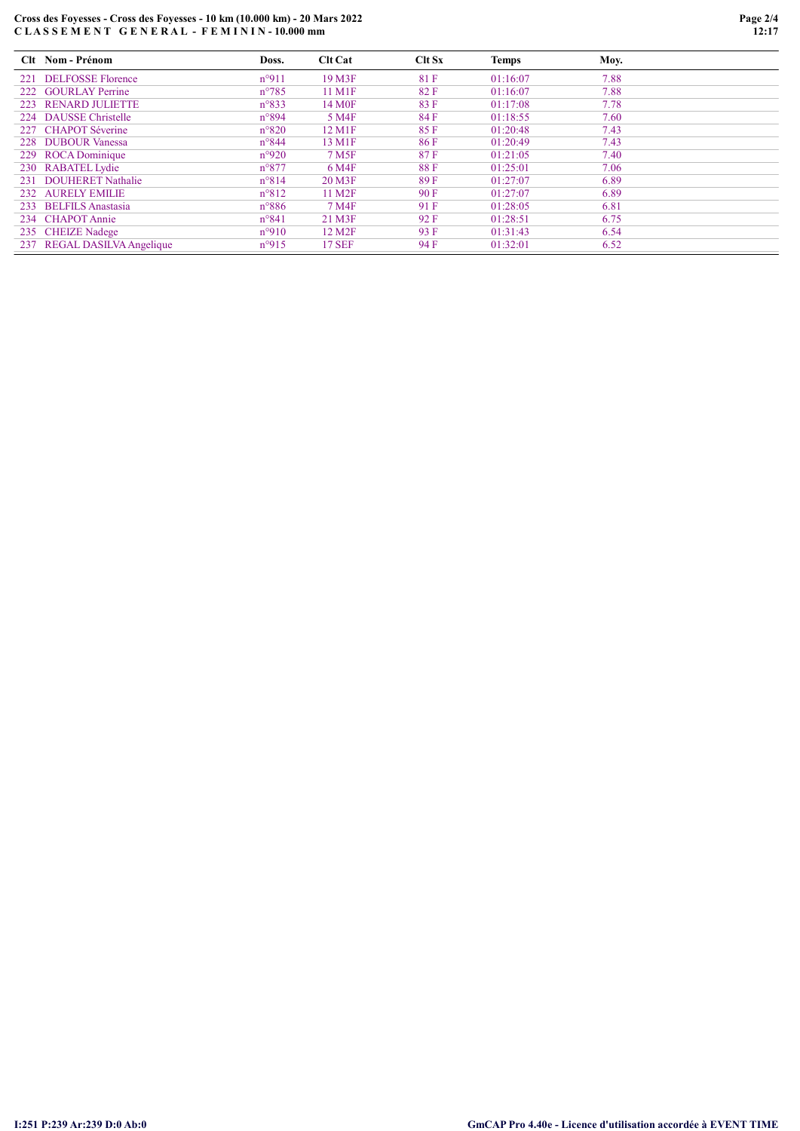# Cross des Foyesses - Cross des Foyesses - 10 km (10.000 km) - 20 Mars 2022 C L A S S E M E N T G E N E R A L - F E M I N I N - 10.000 mm

|     | Clt Nom - Prénom            | Doss.          | <b>Clt Cat</b>     | Clt Sx | Temps    | Moy. |
|-----|-----------------------------|----------------|--------------------|--------|----------|------|
|     | 221 DELFOSSE Florence       | $n^{\circ}911$ | 19 M3F             | 81 F   | 01:16:07 | 7.88 |
|     | 222 GOURLAY Perrine         | $n^{\circ}785$ | 11 M1F             | 82F    | 01:16:07 | 7.88 |
| 223 | <b>RENARD JULIETTE</b>      | $n^{\circ}833$ | 14 M <sub>OF</sub> | 83 F   | 01:17:08 | 7.78 |
|     | 224 DAUSSE Christelle       | $n^{\circ}894$ | 5 M4F              | 84 F   | 01:18:55 | 7.60 |
|     | 227 CHAPOT Séverine         | $n^{\circ}820$ | 12 M1F             | 85F    | 01:20:48 | 7.43 |
|     | 228 DUBOUR Vanessa          | $n^{\circ}844$ | 13 M1F             | 86 F   | 01:20:49 | 7.43 |
|     | 229 ROCA Dominique          | $n^{\circ}920$ | 7 M <sub>5F</sub>  | 87F    | 01:21:05 | 7.40 |
|     | 230 RABATEL Lydie           | $n^{\circ}877$ | 6 M4F              | 88F    | 01:25:01 | 7.06 |
| 231 | <b>DOUHERET Nathalie</b>    | $n^{\circ}814$ | 20 M3F             | 89 F   | 01:27:07 | 6.89 |
|     | 232 AURELY EMILIE           | $n^{\circ}812$ | 11 M <sub>2F</sub> | 90F    | 01:27:07 | 6.89 |
|     | 233 BELFILS Anastasia       | $n^{\circ}886$ | 7 M4F              | 91 F   | 01:28:05 | 6.81 |
|     | 234 CHAPOT Annie            | $n^{\circ}841$ | 21 M3F             | 92 F   | 01:28:51 | 6.75 |
|     | 235 CHEIZE Nadege           | $n^{\circ}910$ | 12 M <sub>2F</sub> | 93 F   | 01:31:43 | 6.54 |
|     | 237 REGAL DASILVA Angelique | $n^{\circ}915$ | <b>17 SEF</b>      | 94 F   | 01:32:01 | 6.52 |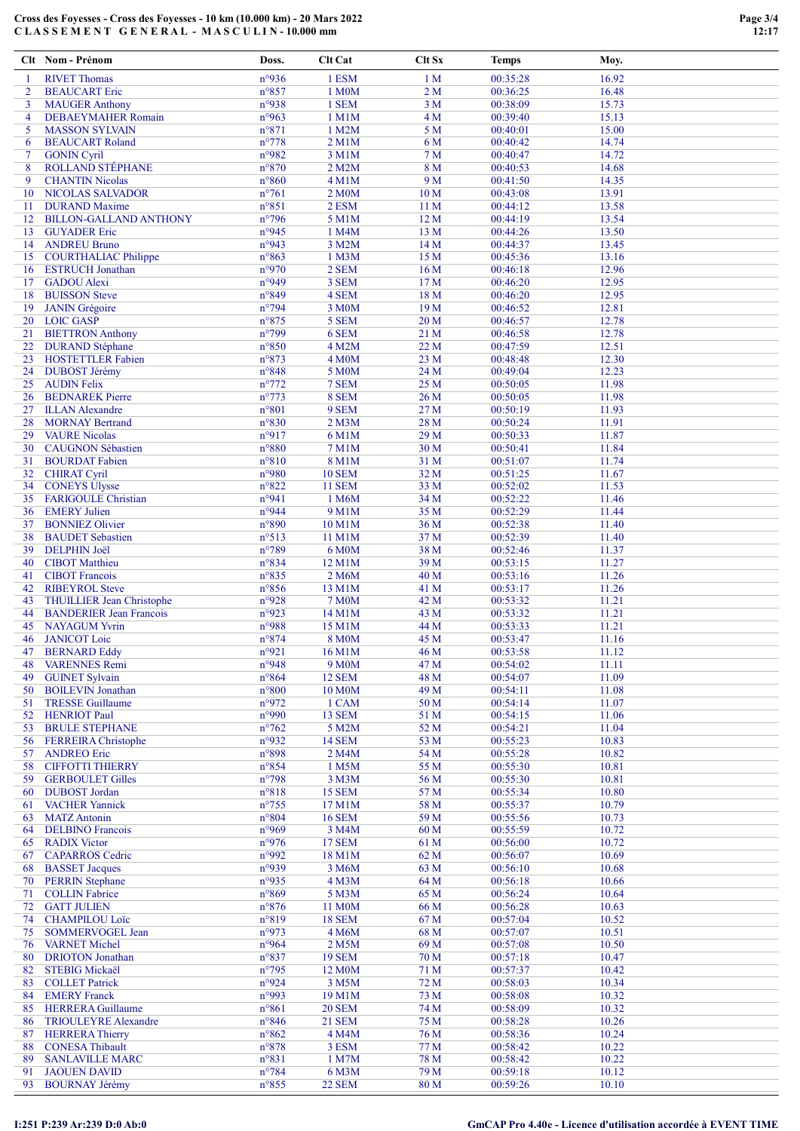### Cross des Foyesses - Cross des Foyesses - 10 km (10.000 km) - 20 Mars 2022 C L A S S E M E N T G E N E R A L - M A S C U L I N - 10.000 mm

|                | Clt Nom - Prénom                                     | Doss.                             | Clt Cat                | Clt Sx                  | <b>Temps</b>         | Moy.           |  |
|----------------|------------------------------------------------------|-----------------------------------|------------------------|-------------------------|----------------------|----------------|--|
| -1             | <b>RIVET Thomas</b>                                  | n°936                             | 1 ESM                  | 1 <sub>M</sub>          | 00:35:28             | 16.92          |  |
| 2              | <b>BEAUCART</b> Eric                                 | n°857                             | 1 M0M                  | 2 <sub>M</sub>          | 00:36:25             | 16.48          |  |
| 3              | <b>MAUGER Anthony</b>                                | n°938                             | 1 SEM                  | 3 <sub>M</sub>          | 00:38:09             | 15.73          |  |
| $\overline{4}$ | <b>DEBAEYMAHER Romain</b>                            | n°963                             | $1$ M $1$ M            | 4 M                     | 00:39:40             | 15.13          |  |
| 5              | <b>MASSON SYLVAIN</b>                                | $n^{\circ}871$                    | 1 M2M                  | 5 <sub>M</sub>          | 00:40:01             | 15.00          |  |
| 6              | <b>BEAUCART Roland</b>                               | $n^{\circ}778$                    | 2 M1M                  | 6 <sub>M</sub>          | 00:40:42             | 14.74          |  |
| 7              | <b>GONIN Cyril</b>                                   | n°982                             | 3 M1M                  | 7 <sub>M</sub>          | 00:40:47             | 14.72          |  |
| 8              | <b>ROLLAND STEPHANE</b>                              | $n^{\circ}870$                    | 2 M2M                  | 8 M                     | 00:40:53             | 14.68          |  |
| 9              | <b>CHANTIN Nicolas</b>                               | $n^{\circ}860$                    | 4 M1M                  | 9 M                     | 00:41:50             | 14.35          |  |
| 10             | <b>NICOLAS SALVADOR</b>                              | $n^{\circ}761$                    | 2 M <sub>0</sub> M     | 10 <sub>M</sub>         | 00:43:08             | 13.91          |  |
| 11             | <b>DURAND</b> Maxime                                 | $n^{\circ}851$<br>$n^{\circ}$ 796 | 2 ESM<br>5 M1M         | 11 M<br>12 <sub>M</sub> | 00:44:12<br>00:44:19 | 13.58<br>13.54 |  |
| 12<br>13       | <b>BILLON-GALLAND ANTHONY</b><br><b>GUYADER Eric</b> | n°945                             | 1 M4M                  | 13 M                    | 00:44:26             | 13.50          |  |
| 14             | <b>ANDREU Bruno</b>                                  | n°943                             | 3 M2M                  | 14M                     | 00:44:37             | 13.45          |  |
| 15             | <b>COURTHALIAC Philippe</b>                          | n°863                             | 1 M3M                  | 15 M                    | 00:45:36             | 13.16          |  |
| 16             | <b>ESTRUCH Jonathan</b>                              | n°970                             | 2 SEM                  | 16 <sub>M</sub>         | 00:46:18             | 12.96          |  |
| 17             | <b>GADOU</b> Alexi                                   | n°949                             | 3 SEM                  | 17 M                    | 00:46:20             | 12.95          |  |
| 18             | <b>BUISSON Steve</b>                                 | n°849                             | 4 SEM                  | 18 M                    | 00:46:20             | 12.95          |  |
| 19             | <b>JANIN</b> Grégoire                                | n°794                             | 3 M0M                  | 19 <sub>M</sub>         | 00:46:52             | 12.81          |  |
| 20             | <b>LOIC GASP</b>                                     | $n^{\circ}875$                    | 5 SEM                  | 20 M                    | 00:46:57             | 12.78          |  |
| 21             | <b>BIETTRON</b> Anthony                              | n°799                             | 6 SEM                  | 21 M                    | 00:46:58             | 12.78          |  |
| 22             | <b>DURAND</b> Stéphane                               | $n^{\circ}850$                    | 4 M2M                  | 22 M                    | 00:47:59             | 12.51          |  |
| 23             | <b>HOSTETTLER Fabien</b>                             | $n^{\circ}873$                    | 4 M <sub>0</sub> M     | 23 M                    | 00:48:48             | 12.30          |  |
| 24             | <b>DUBOST Jérémy</b>                                 | $n^{\circ}848$                    | 5 M0M                  | 24 M                    | 00:49:04             | 12.23          |  |
| 25             | <b>AUDIN Felix</b>                                   | $n^{\circ}772$<br>$n^{\circ}773$  | 7 SEM                  | 25 M                    | 00:50:05             | 11.98          |  |
| 26<br>27       | <b>BEDNAREK</b> Pierre<br><b>ILLAN Alexandre</b>     | $n^{\circ}801$                    | 8 SEM<br>9 SEM         | 26 M<br>27 M            | 00:50:05<br>00:50:19 | 11.98<br>11.93 |  |
| 28             | <b>MORNAY Bertrand</b>                               | $n^{\circ}830$                    | $2$ M $3$ M            | 28 M                    | 00:50:24             | 11.91          |  |
| 29             | <b>VAURE Nicolas</b>                                 | n°917                             | 6 M1M                  | 29 M                    | 00:50:33             | 11.87          |  |
| 30             | <b>CAUGNON Sébastien</b>                             | $n^{\circ}880$                    | 7 M1M                  | 30 <sub>M</sub>         | 00:50:41             | 11.84          |  |
| 31             | <b>BOURDAT Fabien</b>                                | $n^{\circ}810$                    | 8 M1M                  | 31 M                    | 00:51:07             | 11.74          |  |
| 32             | <b>CHIRAT Cyril</b>                                  | n°980                             | <b>10 SEM</b>          | 32 M                    | 00:51:25             | 11.67          |  |
| 34             | <b>CONEYS Ulysse</b>                                 | $n^{\circ}822$                    | <b>11 SEM</b>          | 33 M                    | 00:52:02             | 11.53          |  |
| 35             | <b>FARIGOULE Christian</b>                           | n°941                             | 1 M6M                  | 34 M                    | 00:52:22             | 11.46          |  |
| 36             | <b>EMERY Julien</b>                                  | n°944                             | 9 M1M                  | 35 M                    | 00:52:29             | 11.44          |  |
| 37             | <b>BONNIEZ Olivier</b>                               | n°890                             | 10 M1M                 | 36 M                    | 00:52:38             | 11.40          |  |
| 38             | <b>BAUDET</b> Sebastien                              | n°513                             | 11 M1M                 | 37 M                    | 00:52:39             | 11.40          |  |
| 39             | <b>DELPHIN Joël</b>                                  | $n^{\circ}789$                    | 6 M0M                  | 38 M                    | 00:52:46             | 11.37          |  |
| 40             | <b>CIBOT</b> Matthieu                                | n°834                             | 12 M1M                 | 39 M                    | 00:53:15             | 11.27          |  |
| 41             | <b>CIBOT</b> Francois<br><b>RIBEYROL Steve</b>       | $n^{\circ}835$                    | 2 M6M                  | 40 M                    | 00:53:16             | 11.26          |  |
| 42<br>43       | <b>THUILLIER Jean Christophe</b>                     | $n^{\circ}856$<br>n°928           | 13 M1M<br><b>7 M0M</b> | 41 M<br>42 M            | 00:53:17<br>00:53:32 | 11.26<br>11.21 |  |
| 44             | <b>BANDERIER Jean Francois</b>                       | n°923                             | 14 M1M                 | 43 M                    | 00:53:32             | 11.21          |  |
| 45             | <b>NAYAGUM Yvrin</b>                                 | n°988                             | 15 M1M                 | 44 M                    | 00:53:33             | 11.21          |  |
| 46             | <b>JANICOT</b> Loic                                  | n°874                             | <b>8 M0M</b>           | 45 M                    | 00:53:47             | 11.16          |  |
| 47             | <b>BERNARD Eddy</b>                                  | n°921                             | 16 M1M                 | 46 M                    | 00:53:58             | 11.12          |  |
| 48             | <b>VARENNES Remi</b>                                 | n°948                             | 9 M <sub>0</sub> M     | 47 M                    | 00:54:02             | 11.11          |  |
| 49             | <b>GUINET Sylvain</b>                                | n°864                             | <b>12 SEM</b>          | 48 M                    | 00:54:07             | 11.09          |  |
| 50             | <b>BOILEVIN Jonathan</b>                             | $n^{\circ}800$                    | 10 M <sub>0</sub> M    | 49 M                    | 00:54:11             | 11.08          |  |
| 51             | <b>TRESSE Guillaume</b>                              | n°972                             | 1 CAM                  | 50 M                    | 00:54:14             | 11.07          |  |
| 52             | <b>HENRIOT Paul</b>                                  | n°990                             | 13 SEM                 | 51 M                    | 00:54:15             | 11.06          |  |
| 53             | <b>BRULE STEPHANE</b>                                | $n^{\circ}762$                    | 5 M2M                  | 52 M                    | 00:54:21             | 11.04          |  |
| 56<br>57       | <b>FERREIRA</b> Christophe<br><b>ANDREO Eric</b>     | n°932<br>n°898                    | <b>14 SEM</b><br>2 M4M | 53 M<br>54 M            | 00:55:23<br>00:55:28 | 10.83<br>10.82 |  |
| 58             | <b>CIFFOTTI THIERRY</b>                              | n°854                             | 1 M5M                  | 55 M                    | 00:55:30             | 10.81          |  |
| 59             | <b>GERBOULET Gilles</b>                              | n°798                             | 3 M3M                  | 56 M                    | 00:55:30             | 10.81          |  |
| 60             | <b>DUBOST</b> Jordan                                 | $n^{\circ}818$                    | <b>15 SEM</b>          | 57 M                    | 00:55:34             | 10.80          |  |
| 61             | <b>VACHER Yannick</b>                                | $n^{\circ}755$                    | 17 M1M                 | 58 M                    | 00:55:37             | 10.79          |  |
| 63             | <b>MATZ</b> Antonin                                  | n°804                             | <b>16 SEM</b>          | 59 M                    | 00:55:56             | 10.73          |  |
| 64             | <b>DELBINO</b> Francois                              | n°969                             | 3 M4M                  | 60 M                    | 00:55:59             | 10.72          |  |
| 65             | <b>RADIX Victor</b>                                  | n°976                             | <b>17 SEM</b>          | 61 M                    | 00:56:00             | 10.72          |  |
| 67             | <b>CAPARROS</b> Cedric                               | n°992                             | 18 M1M                 | 62 M                    | 00:56:07             | 10.69          |  |
| 68             | <b>BASSET Jacques</b>                                | n°939                             | 3 M6M                  | 63 M                    | 00:56:10             | 10.68          |  |
| 70             | <b>PERRIN</b> Stephane                               | n°935                             | 4 M3M                  | 64 M                    | 00:56:18             | 10.66          |  |
| 71             | <b>COLLIN Fabrice</b>                                | $n^{\circ}869$                    | 5 M3M                  | 65 M                    | 00:56:24             | 10.64          |  |
| 72             | <b>GATT JULIEN</b>                                   | $n^{\circ}876$                    | 11 M0M                 | 66 M                    | 00:56:28             | 10.63          |  |
| 74<br>75       | <b>CHAMPILOU Loïc</b><br>SOMMERVOGEL Jean            | n°819<br>n°973                    | <b>18 SEM</b><br>4 M6M | 67 M<br>68 M            | 00:57:04<br>00:57:07 | 10.52<br>10.51 |  |
| 76             | <b>VARNET Michel</b>                                 | n°964                             | 2 M5M                  | 69 M                    | 00:57:08             | 10.50          |  |
| 80             | <b>DRIOTON</b> Jonathan                              | n°837                             | <b>19 SEM</b>          | 70 M                    | 00:57:18             | 10.47          |  |
| 82             | STEBIG Mickaël                                       | $n^{\circ}$ 795                   | 12 M0M                 | 71 M                    | 00:57:37             | 10.42          |  |
| 83             | <b>COLLET Patrick</b>                                | n°924                             | 3 M5M                  | 72 M                    | 00:58:03             | 10.34          |  |
| 84             | <b>EMERY Franck</b>                                  | n°993                             | 19 M1M                 | 73 M                    | 00:58:08             | 10.32          |  |
| 85             | <b>HERRERA</b> Guillaume                             | $n^{\circ}861$                    | <b>20 SEM</b>          | 74 M                    | 00:58:09             | 10.32          |  |
| 86             | <b>TRIOULEYRE Alexandre</b>                          | n°846                             | <b>21 SEM</b>          | 75 M                    | 00:58:28             | 10.26          |  |
| 87             | <b>HERRERA Thierry</b>                               | n°862                             | 4 M4M                  | 76 M                    | 00:58:36             | 10.24          |  |
| 88             | <b>CONESA Thibault</b>                               | $n^{\circ}878$                    | 3 ESM                  | 77 M                    | 00:58:42             | 10.22          |  |
| 89             | <b>SANLAVILLE MARC</b>                               | n°831                             | 1 M7M                  | 78 M                    | 00:58:42             | 10.22          |  |
| 91             | <b>JAOUEN DAVID</b>                                  | $n^{\circ}784$                    | 6 M3M                  | 79 M                    | 00:59:18             | 10.12          |  |
| 93             | <b>BOURNAY Jérémy</b>                                | $n^{\circ}855$                    | <b>22 SEM</b>          | 80 M                    | 00:59:26             | 10.10          |  |

# I:251 P:239 Ar:239 D:0 Ab:0 GmCAP Pro 4.40e - Licence d'utilisation accordée à EVENT TIME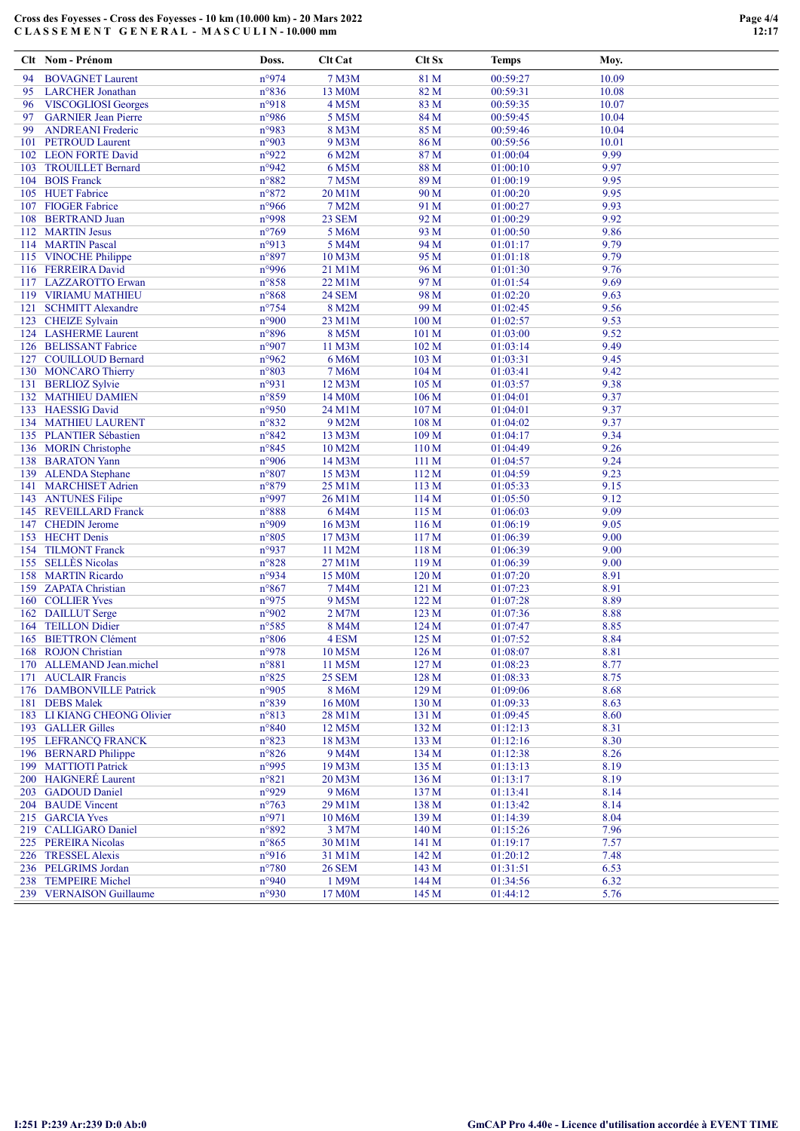### Cross des Foyesses - Cross des Foyesses - 10 km (10.000 km) - 20 Mars 2022 C L A S S E M E N T G E N E R A L - M A S C U L I N - 10.000 mm

|     | Clt Nom - Prénom                              | Doss.                   | <b>Clt Cat</b>                | Clt Sx           | Temps                | Moy.         |  |
|-----|-----------------------------------------------|-------------------------|-------------------------------|------------------|----------------------|--------------|--|
| 94  | <b>BOVAGNET Laurent</b>                       | n°974                   | 7 M3M                         | 81 M             | 00:59:27             | 10.09        |  |
| 95  | <b>LARCHER Jonathan</b>                       | n°836                   | 13 M0M                        | 82 M             | 00:59:31             | 10.08        |  |
| 96  | <b>VISCOGLIOSI Georges</b>                    | n°918                   | 4 M5M                         | 83 M             | 00:59:35             | 10.07        |  |
| 97  | <b>GARNIER Jean Pierre</b>                    | n°986                   | 5 M5M                         | 84 M             | 00:59:45             | 10.04        |  |
| 99  | <b>ANDREANI</b> Frederic                      | n°983                   | 8 M3M                         | 85 M             | 00:59:46             | 10.04        |  |
|     | 101 PETROUD Laurent                           | n°903                   | 9 M3M                         | 86 M             | 00:59:56             | 10.01        |  |
|     | 102 LEON FORTE David                          | n°922                   | 6 M2M                         | 87 M             | 01:00:04             | 9.99         |  |
|     | 103 TROUILLET Bernard                         | n°942                   | 6 M5M                         | 88 M             | 01:00:10             | 9.97         |  |
|     | 104 BOIS Franck                               | $n^{\circ}882$          | 7 M5M                         | 89 M             | 01:00:19             | 9.95         |  |
|     | 105 HUET Fabrice                              | n°872                   | 20 M1M                        | 90 M             | 01:00:20             | 9.95         |  |
|     | 107 FIOGER Fabrice                            | n°966                   | 7 M2M                         | 91 M             | 01:00:27             | 9.93         |  |
| 108 | <b>BERTRAND Juan</b>                          | n°998<br>$n^{\circ}769$ | 23 SEM                        | 92 M<br>93 M     | 01:00:29             | 9.92<br>9.86 |  |
|     | 112 MARTIN Jesus<br>114 MARTIN Pascal         | n°913                   | 5 M6M<br>5 M4M                | 94 M             | 01:00:50<br>01:01:17 | 9.79         |  |
|     | 115 VINOCHE Philippe                          | n°897                   | 10 M3M                        | 95 M             | 01:01:18             | 9.79         |  |
|     | 116 FERREIRA David                            | n°996                   | 21 M1M                        | 96 M             | 01:01:30             | 9.76         |  |
|     | 117 LAZZAROTTO Erwan                          | n°858                   | 22 M1M                        | 97 M             | 01:01:54             | 9.69         |  |
|     | 119 VIRIAMU MATHIEU                           | n°868                   | <b>24 SEM</b>                 | 98 M             | 01:02:20             | 9.63         |  |
| 121 | <b>SCHMITT Alexandre</b>                      | $n^{\circ}$ 754         | 8 M2M                         | 99 M             | 01:02:45             | 9.56         |  |
|     | 123 CHEIZE Sylvain                            | n°900                   | 23 M1M                        | 100 M            | 01:02:57             | 9.53         |  |
|     | 124 LASHERME Laurent                          | n°896                   | 8 M5M                         | 101 M            | 01:03:00             | 9.52         |  |
|     | 126 BELISSANT Fabrice                         | n°907                   | 11 M3M                        | 102 M            | 01:03:14             | 9.49         |  |
|     | 127 COUILLOUD Bernard                         | n°962                   | 6 M6M                         | 103 M            | 01:03:31             | 9.45         |  |
|     | 130 MONCARO Thierry                           | $n^{\circ}803$          | 7 M6M                         | 104 M            | 01:03:41             | 9.42         |  |
|     | 131 BERLIOZ Sylvie                            | n°931                   | 12 M3M                        | 105 M            | 01:03:57             | 9.38         |  |
|     | 132 MATHIEU DAMIEN                            | n°859                   | 14 M <sub>0</sub> M           | 106 <sub>M</sub> | 01:04:01             | 9.37         |  |
|     | 133 HAESSIG David                             | n°950                   | 24 M1M                        | 107 M            | 01:04:01             | 9.37         |  |
|     | 134 MATHIEU LAURENT                           | n°832                   | 9 M2M                         | 108 M            | 01:04:02             | 9.37         |  |
|     | 135 PLANTIER Sébastien                        | $n^{\circ}842$          | 13 M3M                        | 109 M            | 01:04:17             | 9.34         |  |
|     | 136 MORIN Christophe                          | n°845                   | 10 M2M                        | 110 M            | 01:04:49             | 9.26         |  |
|     | 138 BARATON Yann                              | n°906                   | 14 M3M                        | 111M             | 01:04:57             | 9.24         |  |
|     | 139 ALENDA Stephane<br>141 MARCHISET Adrien   | n°807<br>n°879          | 15 M3M                        | 112 M<br>113 M   | 01:04:59<br>01:05:33 | 9.23<br>9.15 |  |
|     | 143 ANTUNES Filipe                            | n°997                   | 25 M1M<br>26 M1M              | 114 M            | 01:05:50             | 9.12         |  |
|     | 145 REVEILLARD Franck                         | n°888                   | 6 M4M                         | 115 M            | 01:06:03             | 9.09         |  |
|     | 147 CHEDIN Jerome                             | n°909                   | 16 M3M                        | 116 M            | 01:06:19             | 9.05         |  |
|     | 153 HECHT Denis                               | n°805                   | 17 M3M                        | 117 M            | 01:06:39             | 9.00         |  |
|     | 154 TILMONT Franck                            | n°937                   | 11 M2M                        | 118 M            | 01:06:39             | 9.00         |  |
|     | 155 SELLÈS Nicolas                            | $n^{\circ}828$          | 27 M1M                        | 119 <sub>M</sub> | 01:06:39             | 9.00         |  |
|     | 158 MARTIN Ricardo                            | n°934                   | 15 M0M                        | 120 M            | 01:07:20             | 8.91         |  |
|     | 159 ZAPATA Christian                          | $n^{\circ}867$          | 7 M4M                         | 121 M            | 01:07:23             | 8.91         |  |
|     | 160 COLLIER Yves                              | n°975                   | 9 M <sub>5</sub> M            | 122 M            | 01:07:28             | 8.89         |  |
|     | 162 DAILLUT Serge                             | n°902                   | 2 M7M                         | 123 M            | 01:07:36             | 8.88         |  |
|     | 164 TEILLON Didier                            | n°585                   | 8 M4M                         | 124M             | 01:07:47             | 8.85         |  |
|     | 165 BIETTRON Clément                          | $n^{\circ}806$          | 4 ESM                         | 125 M            | 01:07:52             | 8.84         |  |
|     | 168 ROJON Christian                           | n°978                   | 10 M5M                        | 126 <sub>M</sub> | 01:08:07             | 8.81         |  |
|     | 170 ALLEMAND Jean.michel                      | n°881                   | 11 M5M                        | 127 M            | 01:08:23             | 8.77         |  |
|     | 171 AUCLAIR Francis                           | $n^{\circ}825$          | <b>25 SEM</b>                 | 128 M            | 01:08:33             | 8.75         |  |
|     | 176 DAMBONVILLE Patrick                       | n°905                   | 8 M6M                         | 129 M            | 01:09:06             | 8.68         |  |
|     | 181 DEBS Malek<br>183 LI KIANG CHEONG Olivier | n°839                   | 16 M <sub>0</sub> M<br>28 M1M | 130 M            | 01:09:33             | 8.63         |  |
|     | 193 GALLER Gilles                             | n°813<br>$n^{\circ}840$ | 12 M5M                        | 131 M<br>132 M   | 01:09:45<br>01:12:13 | 8.60<br>8.31 |  |
|     | 195 LEFRANCQ FRANCK                           | n°823                   | 18 M3M                        | 133 M            | 01:12:16             | 8.30         |  |
|     | 196 BERNARD Philippe                          | $n^{\circ}826$          | 9 M4M                         | 134 M            | 01:12:38             | 8.26         |  |
|     | 199 MATTIOTI Patrick                          | n°995                   | 19 M3M                        | 135 M            | 01:13:13             | 8.19         |  |
|     | 200 HAIGNERÉ Laurent                          | n°821                   | 20 M3M                        | 136 <sub>M</sub> | 01:13:17             | 8.19         |  |
|     | 203 GADOUD Daniel                             | n°929                   | 9 M6M                         | 137 M            | 01:13:41             | 8.14         |  |
|     | 204 BAUDE Vincent                             | $n^{\circ}763$          | 29 M1M                        | 138 M            | 01:13:42             | 8.14         |  |
|     | 215 GARCIA Yves                               | n°971                   | 10 M6M                        | 139 M            | 01:14:39             | 8.04         |  |
|     | 219 CALLIGARO Daniel                          | n°892                   | 3 M7M                         | 140 M            | 01:15:26             | 7.96         |  |
|     | 225 PEREIRA Nicolas                           | $n^{\circ}865$          | 30 M1M                        | 141 M            | 01:19:17             | 7.57         |  |
|     | 226 TRESSEL Alexis                            | n°916                   | 31 M1M                        | 142 M            | 01:20:12             | 7.48         |  |
|     | 236 PELGRIMS Jordan                           | $n^{\circ}780$          | <b>26 SEM</b>                 | 143 M            | 01:31:51             | 6.53         |  |
|     | 238 TEMPEIRE Michel                           | n°940                   | 1 M9M                         | 144 M            | 01:34:56             | 6.32         |  |
|     | 239 VERNAISON Guillaume                       | n°930                   | 17 M0M                        | 145 M            | 01:44:12             | 5.76         |  |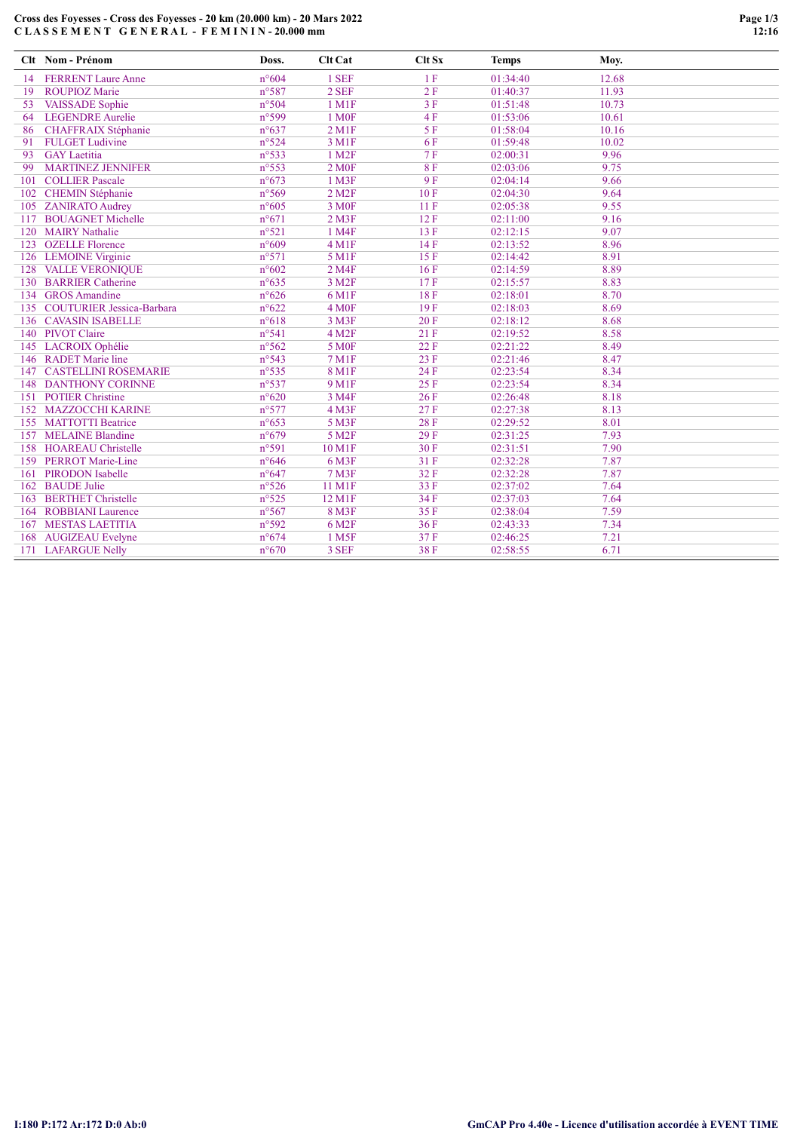# Cross des Foyesses - Cross des Foyesses - 20 km (20.000 km) - 20 Mars 2022 C L A S S E M E N T G E N E R A L - F E M I N I N - 20.000 mm

|     | Clt Nom - Prénom                 | Doss.           | Clt Cat              | Clt Sx | <b>Temps</b> | Moy.  |  |
|-----|----------------------------------|-----------------|----------------------|--------|--------------|-------|--|
| 14  | <b>FERRENT Laure Anne</b>        | $n^{\circ}604$  | 1 SEF                | 1F     | 01:34:40     | 12.68 |  |
| 19  | <b>ROUPIOZ Marie</b>             | n°587           | 2 SEF                | 2F     | 01:40:37     | 11.93 |  |
| 53  | <b>VAISSADE</b> Sophie           | n°504           | 1 M1F                | 3F     | 01:51:48     | 10.73 |  |
| 64  | <b>LEGENDRE Aurelie</b>          | n°599           | 1 M <sub>OF</sub>    | 4F     | 01:53:06     | 10.61 |  |
| 86  | CHAFFRAIX Stéphanie              | $n^{\circ}637$  | $2$ M <sub>1</sub> F | 5F     | 01:58:04     | 10.16 |  |
| 91  | <b>FULGET Ludivine</b>           | n°524           | 3 M1F                | 6F     | 01:59:48     | 10.02 |  |
| 93  | <b>GAY</b> Laetitia              | n°533           | 1 M <sub>2F</sub>    | 7F     | 02:00:31     | 9.96  |  |
| 99  | <b>MARTINEZ JENNIFER</b>         | $n^{\circ}553$  | 2 M <sub>OF</sub>    | 8F     | 02:03:06     | 9.75  |  |
| 101 | <b>COLLIER Pascale</b>           | $n^{\circ}673$  | 1 M3F                | 9F     | 02:04:14     | 9.66  |  |
| 102 | <b>CHEMIN Stéphanie</b>          | n°569           | 2 M <sub>2</sub> F   | 10F    | 02:04:30     | 9.64  |  |
| 105 | <b>ZANIRATO Audrey</b>           | $n^{\circ}605$  | 3 M <sub>OF</sub>    | 11F    | 02:05:38     | 9.55  |  |
| 117 | <b>BOUAGNET Michelle</b>         | $n^{\circ}671$  | $2$ M $3F$           | 12F    | 02:11:00     | 9.16  |  |
| 120 | <b>MAIRY Nathalie</b>            | $n^{\circ}521$  | 1 M4F                | 13 F   | 02:12:15     | 9.07  |  |
| 123 | <b>OZELLE</b> Florence           | $n^{\circ}609$  | 4 M <sub>1F</sub>    | 14F    | 02:13:52     | 8.96  |  |
|     | 126 LEMOINE Virginie             | n°571           | 5 M1F                | 15F    | 02:14:42     | 8.91  |  |
| 128 | <b>VALLE VERONIQUE</b>           | $n^{\circ}602$  | 2 M4F                | 16F    | 02:14:59     | 8.89  |  |
|     | 130 BARRIER Catherine            | $n^{\circ}635$  | 3 M <sub>2F</sub>    | 17F    | 02:15:57     | 8.83  |  |
|     | 134 GROS Amandine                | $n^{\circ}626$  | 6 M1F                | 18F    | 02:18:01     | 8.70  |  |
| 135 | <b>COUTURIER Jessica-Barbara</b> | $n^{\circ}622$  | 4 M <sub>OF</sub>    | 19F    | 02:18:03     | 8.69  |  |
|     | 136 CAVASIN ISABELLE             | $n^{\circ}618$  | 3 M3F                | 20F    | 02:18:12     | 8.68  |  |
|     | 140 PIVOT Claire                 | n°541           | 4 M <sub>2F</sub>    | 21F    | 02:19:52     | 8.58  |  |
|     | 145 LACROIX Ophélie              | $n^{\circ}562$  | <b>5 MOF</b>         | 22F    | 02:21:22     | 8.49  |  |
| 146 | <b>RADET Marie line</b>          | n°543           | <b>7 M1F</b>         | 23 F   | 02:21:46     | 8.47  |  |
| 147 | <b>CASTELLINI ROSEMARIE</b>      | n°535           | <b>8 M1F</b>         | 24 F   | 02:23:54     | 8.34  |  |
| 148 | <b>DANTHONY CORINNE</b>          | $n^{\circ}$ 537 | <b>9 M1F</b>         | 25F    | 02:23:54     | 8.34  |  |
| 151 | <b>POTIER Christine</b>          | $n^{\circ}620$  | 3 M4F                | 26F    | 02:26:48     | 8.18  |  |
| 152 | <b>MAZZOCCHI KARINE</b>          | n°577           | 4 M3F                | 27F    | 02:27:38     | 8.13  |  |
| 155 | <b>MATTOTTI Beatrice</b>         | $n^{\circ}653$  | 5 M3F                | 28F    | 02:29:52     | 8.01  |  |
| 157 | <b>MELAINE Blandine</b>          | $n^{\circ}679$  | 5 M <sub>2F</sub>    | 29F    | 02:31:25     | 7.93  |  |
| 158 | <b>HOAREAU Christelle</b>        | n°591           | 10 M1F               | 30F    | 02:31:51     | 7.90  |  |
|     | 159 PERROT Marie-Line            | $n^{\circ}646$  | 6 M3F                | 31F    | 02:32:28     | 7.87  |  |
| 161 | PIRODON Isabelle                 | $n^{\circ}647$  | <b>7 M3F</b>         | 32F    | 02:32:28     | 7.87  |  |
|     | 162 BAUDE Julie                  | $n^{\circ}526$  | 11 M1F               | 33 F   | 02:37:02     | 7.64  |  |
| 163 | <b>BERTHET Christelle</b>        | n°525           | 12 M1F               | 34 F   | 02:37:03     | 7.64  |  |
| 164 | <b>ROBBIANI</b> Laurence         | $n^{\circ}567$  | 8 M3F                | 35F    | 02:38:04     | 7.59  |  |
| 167 | <b>MESTAS LAETITIA</b>           | n°592           | 6 M <sub>2F</sub>    | 36F    | 02:43:33     | 7.34  |  |
| 168 | <b>AUGIZEAU</b> Evelyne          | $n^{\circ}674$  | 1 M <sub>5</sub> F   | 37F    | 02:46:25     | 7.21  |  |
|     | 171 LAFARGUE Nelly               | $n^{\circ}670$  | 3 SEF                | 38F    | 02:58:55     | 6.71  |  |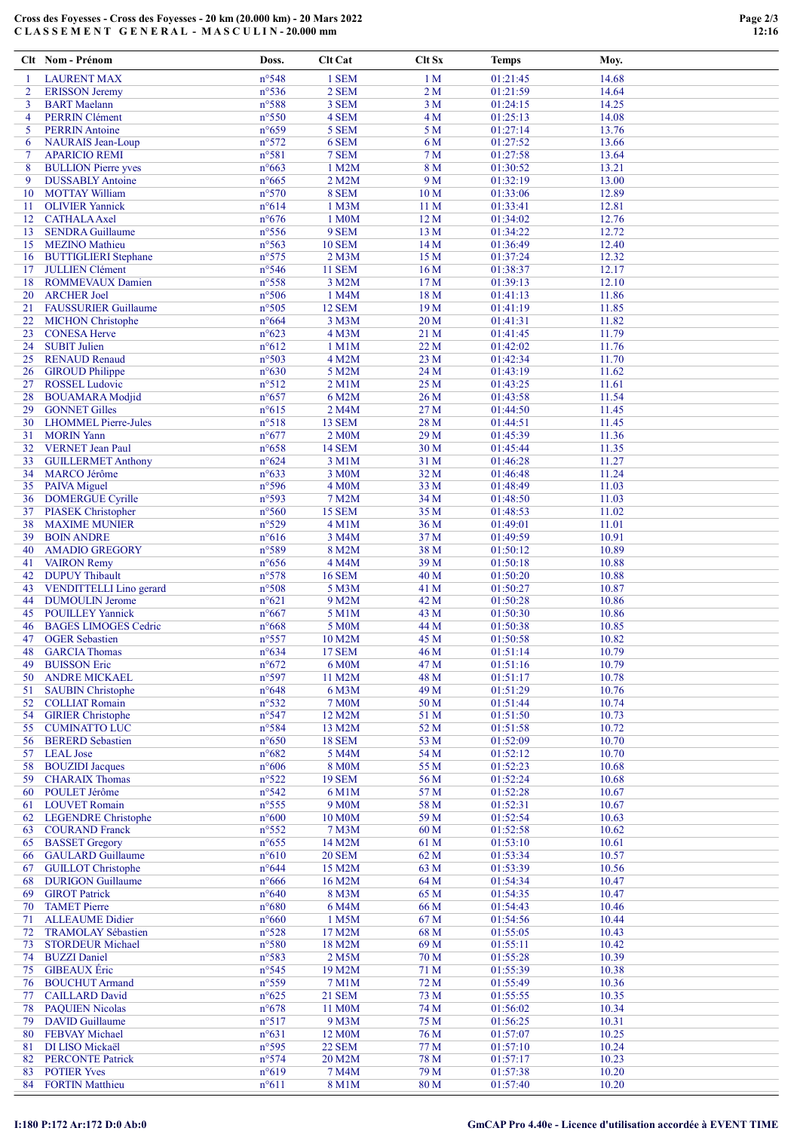### Cross des Foyesses - Cross des Foyesses - 20 km (20.000 km) - 20 Mars 2022 C L A S S E M E N T G E N E R A L - M A S C U L I N - 20.000 mm

|          | Clt Nom - Prénom                                      | Doss.                            | Clt Cat                      | Clt Sx                | <b>Temps</b>         | Moy.           |  |
|----------|-------------------------------------------------------|----------------------------------|------------------------------|-----------------------|----------------------|----------------|--|
| -1       | <b>LAURENT MAX</b>                                    | n°548                            | 1 SEM                        | 1 <sub>M</sub>        | 01:21:45             | 14.68          |  |
| 2        | <b>ERISSON</b> Jeremy                                 | $n^{\circ}$ 536                  | 2 SEM                        | 2 <sub>M</sub>        | 01:21:59             | 14.64          |  |
| 3        | <b>BART</b> Maelann                                   | n°588                            | 3 SEM                        | 3 <sub>M</sub>        | 01:24:15             | 14.25          |  |
| 4        | <b>PERRIN</b> Clément                                 | $n^{\circ}550$                   | 4 SEM                        | 4 <sub>M</sub>        | 01:25:13             | 14.08          |  |
| 5        | <b>PERRIN</b> Antoine                                 | $n^{\circ}659$                   | 5 SEM                        | 5 M                   | 01:27:14             | 13.76          |  |
| 6        | <b>NAURAIS</b> Jean-Loup                              | n°572                            | 6 SEM                        | 6 M                   | 01:27:52             | 13.66          |  |
| 7        | <b>APARICIO REMI</b>                                  | n°581                            | 7 SEM                        | 7 <sub>M</sub><br>8 M | 01:27:58             | 13.64          |  |
| 8<br>9   | <b>BULLION Pierre yves</b><br><b>DUSSABLY Antoine</b> | $n^{\circ}663$<br>$n^{\circ}665$ | 1 M2M<br>2 M2M               | 9 M                   | 01:30:52<br>01:32:19 | 13.21<br>13.00 |  |
| 10       | <b>MOTTAY William</b>                                 | $n^{\circ}570$                   | 8 SEM                        | 10 <sub>M</sub>       | 01:33:06             | 12.89          |  |
| 11       | <b>OLIVIER Yannick</b>                                | $n^{\circ}614$                   | 1 M3M                        | 11 M                  | 01:33:41             | 12.81          |  |
| 12       | <b>CATHALA</b> Axel                                   | $n^{\circ}676$                   | 1 M0M                        | 12M                   | 01:34:02             | 12.76          |  |
| 13       | <b>SENDRA Guillaume</b>                               | $n^{\circ}$ 556                  | 9 SEM                        | 13 M                  | 01:34:22             | 12.72          |  |
| 15       | <b>MEZINO</b> Mathieu                                 | n°563                            | <b>10 SEM</b>                | 14M                   | 01:36:49             | 12.40          |  |
| 16       | <b>BUTTIGLIERI Stephane</b>                           | n°575                            | $2$ M $3M$                   | 15 M                  | 01:37:24             | 12.32          |  |
| 17       | <b>JULLIEN Clément</b>                                | n°546                            | <b>11 SEM</b>                | 16 <sub>M</sub>       | 01:38:37             | 12.17          |  |
| 18       | <b>ROMMEVAUX Damien</b>                               | n°558                            | 3 M2M                        | 17 <sub>M</sub>       | 01:39:13             | 12.10          |  |
| 20       | <b>ARCHER Joel</b>                                    | $n^{\circ}506$                   | 1 M4M                        | 18 M                  | 01:41:13             | 11.86          |  |
| 21       | <b>FAUSSURIER Guillaume</b>                           | n°505                            | <b>12 SEM</b>                | 19 <sub>M</sub>       | 01:41:19             | 11.85          |  |
| 22       | <b>MICHON</b> Christophe                              | $n^{\circ}664$<br>$n^{\circ}623$ | 3 M3M                        | 20 <sub>M</sub>       | 01:41:31             | 11.82          |  |
| 23<br>24 | <b>CONESA Herve</b><br><b>SUBIT Julien</b>            | $n^{\circ}612$                   | 4 M3M<br>1 M1M               | 21 M<br>22 M          | 01:41:45<br>01:42:02 | 11.79<br>11.76 |  |
| 25       | <b>RENAUD Renaud</b>                                  | n°503                            | 4 M2M                        | 23 M                  | 01:42:34             | 11.70          |  |
| 26       | <b>GIROUD Philippe</b>                                | $n^{\circ}630$                   | 5 M2M                        | 24 M                  | 01:43:19             | 11.62          |  |
| 27       | <b>ROSSEL</b> Ludovic                                 | n°512                            | $2$ M $1$ M                  | 25 M                  | 01:43:25             | 11.61          |  |
| 28       | <b>BOUAMARA</b> Modjid                                | $n^{\circ}657$                   | 6 M2M                        | 26 M                  | 01:43:58             | 11.54          |  |
| 29       | <b>GONNET Gilles</b>                                  | $n^{\circ}615$                   | 2 M4M                        | 27 M                  | 01:44:50             | 11.45          |  |
| 30       | <b>LHOMMEL Pierre-Jules</b>                           | n°518                            | <b>13 SEM</b>                | 28 M                  | 01:44:51             | 11.45          |  |
| 31       | <b>MORIN</b> Yann                                     | $n^{\circ}677$                   | 2 M0M                        | 29M                   | 01:45:39             | 11.36          |  |
| 32       | <b>VERNET</b> Jean Paul                               | $n^{\circ}658$                   | <b>14 SEM</b>                | 30 M                  | 01:45:44             | 11.35          |  |
| 33       | <b>GUILLERMET Anthony</b>                             | $n^{\circ}624$                   | 3 M1M                        | 31 M                  | 01:46:28             | 11.27          |  |
| 34       | <b>MARCO</b> Jérôme                                   | $n^{\circ}633$                   | 3 M <sub>0</sub> M           | 32 M                  | 01:46:48             | 11.24          |  |
| 35       | <b>PAIVA</b> Miguel                                   | n°596                            | 4 M <sub>0</sub> M           | 33 M                  | 01:48:49             | 11.03          |  |
| 36       | <b>DOMERGUE Cyrille</b>                               | n°593                            | 7 M2M                        | 34 M                  | 01:48:50             | 11.03          |  |
| 37       | <b>PIASEK Christopher</b><br><b>MAXIME MUNIER</b>     | $n^{\circ}560$<br>n°529          | <b>15 SEM</b><br>4 M1M       | 35 M<br>36 M          | 01:48:53<br>01:49:01 | 11.02<br>11.01 |  |
| 38<br>39 | <b>BOIN ANDRE</b>                                     | $n^{\circ}616$                   | 3 M4M                        | 37 M                  | 01:49:59             | 10.91          |  |
| 40       | <b>AMADIO GREGORY</b>                                 | n°589                            | 8 M2M                        | 38 M                  | 01:50:12             | 10.89          |  |
| 41       | <b>VAIRON Remy</b>                                    | $n^{\circ}656$                   | 4 M4M                        | 39 M                  | 01:50:18             | 10.88          |  |
| 42       | <b>DUPUY</b> Thibault                                 | $n^{\circ}578$                   | <b>16 SEM</b>                | 40 M                  | 01:50:20             | 10.88          |  |
| 43       | <b>VENDITTELLI</b> Lino gerard                        | n°508                            | 5 M3M                        | 41 M                  | 01:50:27             | 10.87          |  |
| 44       | <b>DUMOULIN Jerome</b>                                | $n^{\circ}621$                   | 9 M2M                        | 42 M                  | 01:50:28             | 10.86          |  |
| 45       | <b>POUILLEY Yannick</b>                               | $n^{\circ}667$                   | 5 M1M                        | 43 M                  | 01:50:30             | 10.86          |  |
| 46       | <b>BAGES LIMOGES Cedric</b>                           | $n^{\circ}668$                   | 5 M0M                        | 44 M                  | 01:50:38             | 10.85          |  |
| 47       | <b>OGER</b> Sebastien                                 | n°557                            | 10 M2M                       | 45 M                  | 01:50:58             | 10.82          |  |
| 48       | <b>GARCIA</b> Thomas                                  | $n^{\circ}634$                   | <b>17 SEM</b>                | 46 M                  | 01:51:14             | 10.79          |  |
| 49       | <b>BUISSON Eric</b>                                   | $n^{\circ}672$                   | 6 M0M                        | 47 M                  | 01:51:16             | 10.79          |  |
| 50       | <b>ANDRE MICKAEL</b>                                  | n°597                            | 11 M2M                       | 48 M                  | 01:51:17             | 10.78          |  |
| 51<br>52 | <b>SAUBIN Christophe</b><br><b>COLLIAT Romain</b>     | $n^{\circ}648$<br>$n^{\circ}532$ | 6 M3M<br><b>7 M0M</b>        | 49 M<br>50 M          | 01:51:29<br>01:51:44 | 10.76<br>10.74 |  |
| 54       | <b>GIRIER Christophe</b>                              | n°547                            | 12 M2M                       | 51 M                  | 01:51:50             | 10.73          |  |
| 55       | <b>CUMINATTO LUC</b>                                  | n°584                            | 13 M2M                       | 52 M                  | 01:51:58             | 10.72          |  |
| 56       | <b>BERERD</b> Sebastien                               | $n^{\circ}650$                   | <b>18 SEM</b>                | 53 M                  | 01:52:09             | 10.70          |  |
| 57       | <b>LEAL</b> Jose                                      | $n^{\circ}682$                   | 5 M4M                        | 54 M                  | 01:52:12             | 10.70          |  |
| 58       | <b>BOUZIDI</b> Jacques                                | $n^{\circ}606$                   | <b>8 M0M</b>                 | 55 M                  | 01:52:23             | 10.68          |  |
| 59       | <b>CHARAIX Thomas</b>                                 | $n^{\circ}522$                   | <b>19 SEM</b>                | 56 M                  | 01:52:24             | 10.68          |  |
| 60       | POULET Jérôme                                         | $n^{\circ}542$                   | 6 M1M                        | 57 M                  | 01:52:28             | 10.67          |  |
| 61       | <b>LOUVET Romain</b>                                  | $n^{\circ}$ 555                  | 9 M <sub>0</sub> M           | 58 M                  | 01:52:31             | 10.67          |  |
| 62       | <b>LEGENDRE</b> Christophe                            | $n^{\circ}600$                   | 10 M0M                       | 59 M                  | 01:52:54             | 10.63          |  |
| 63       | <b>COURAND Franck</b>                                 | $n^{\circ}552$                   | 7 M3M                        | 60 M                  | 01:52:58             | 10.62          |  |
| 65       | <b>BASSET</b> Gregory<br><b>GAULARD</b> Guillaume     | $n^{\circ}655$<br>$n^{\circ}610$ | 14 M2M<br><b>20 SEM</b>      | 61 M<br>62 M          | 01:53:10<br>01:53:34 | 10.61<br>10.57 |  |
| 66<br>67 | <b>GUILLOT</b> Christophe                             | $n^{\circ}644$                   | 15 M2M                       | 63 M                  | 01:53:39             | 10.56          |  |
| 68       | <b>DURIGON Guillaume</b>                              | $n^{\circ}666$                   | 16 M2M                       | 64 M                  | 01:54:34             | 10.47          |  |
| 69       | <b>GIROT Patrick</b>                                  | $n^{\circ}640$                   | 8 M3M                        | 65 M                  | 01:54:35             | 10.47          |  |
| 70       | <b>TAMET Pierre</b>                                   | $n^{\circ}680$                   | 6 M4M                        | 66 M                  | 01:54:43             | 10.46          |  |
| 71       | <b>ALLEAUME Didier</b>                                | $n^{\circ}660$                   | 1 M5M                        | 67 M                  | 01:54:56             | 10.44          |  |
| 72       | <b>TRAMOLAY Sébastien</b>                             | $n^{\circ}528$                   | 17 M2M                       | 68 M                  | 01:55:05             | 10.43          |  |
| 73       | <b>STORDEUR Michael</b>                               | $n^{\circ}580$                   | 18 M2M                       | 69 M                  | 01:55:11             | 10.42          |  |
| 74       | <b>BUZZI</b> Daniel                                   | n°583                            | 2 M <sub>5</sub> M           | 70 M                  | 01:55:28             | 10.39          |  |
| 75       | <b>GIBEAUX</b> Éric                                   | $n^{\circ}545$                   | 19 M2M                       | 71 M                  | 01:55:39             | 10.38          |  |
| 76       | <b>BOUCHUT Armand</b>                                 | n°559                            | 7 M1M                        | 72 M                  | 01:55:49             | 10.36          |  |
| 77       | <b>CAILLARD David</b>                                 | $n^{\circ}625$                   | <b>21 SEM</b>                | 73 M                  | 01:55:55             | 10.35          |  |
| 78       | <b>PAQUIEN Nicolas</b>                                | $n^{\circ}678$                   | 11 M0M                       | 74 M                  | 01:56:02             | 10.34          |  |
| 79<br>80 | <b>DAVID</b> Guillaume<br>FEBVAY Michael              | n°517<br>$n^{\circ}631$          | 9 M3M<br>12 M <sub>0</sub> M | 75 M<br>76 M          | 01:56:25<br>01:57:07 | 10.31<br>10.25 |  |
| 81       | DI LISO Mickaël                                       | n°595                            | <b>22 SEM</b>                | 77 M                  | 01:57:10             | 10.24          |  |
| 82       | <b>PERCONTE Patrick</b>                               | n°574                            | 20 M2M                       | 78 M                  | 01:57:17             | 10.23          |  |
| 83       | <b>POTIER Yves</b>                                    | n°619                            | 7 M4M                        | 79 M                  | 01:57:38             | 10.20          |  |
|          | 84 FORTIN Matthieu                                    | $n^{\circ}611$                   | 8 M1M                        | 80 M                  | 01:57:40             | 10.20          |  |

# I:180 P:172 Ar:172 D:0 Ab:0 GmCAP Pro 4.40e - Licence d'utilisation accordée à EVENT TIME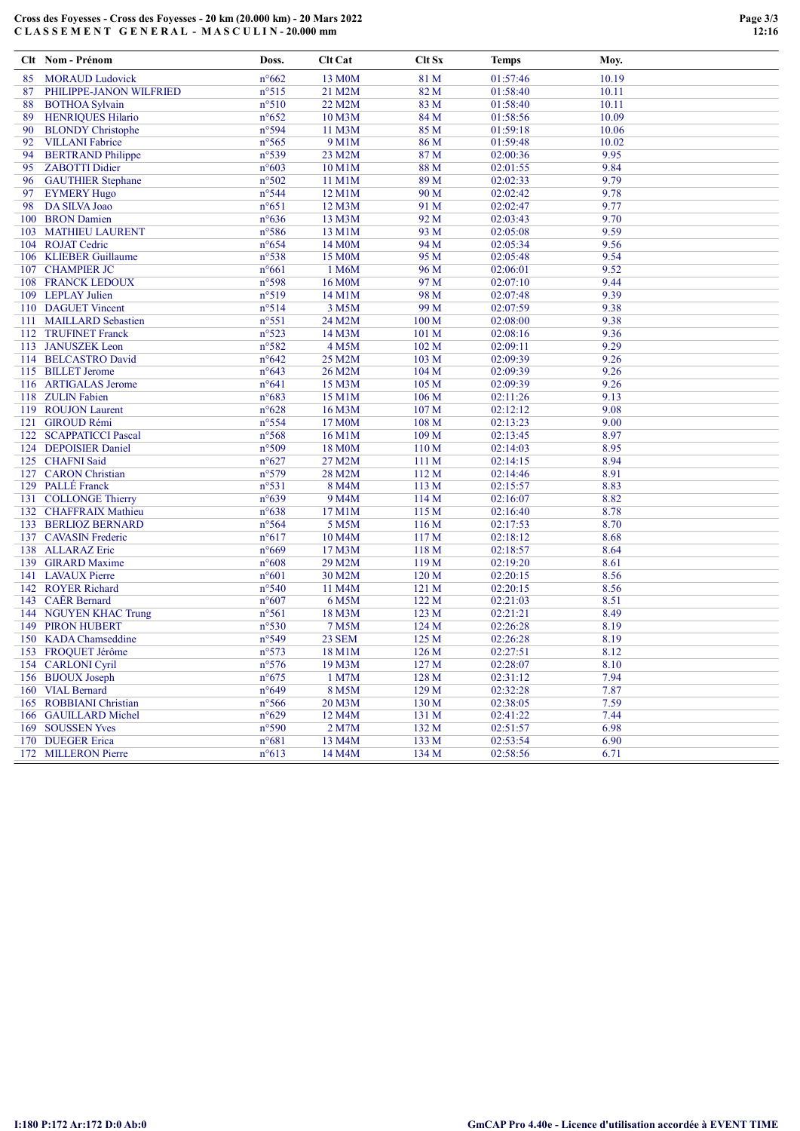### Cross des Foyesses - Cross des Foyesses - 20 km (20.000 km) - 20 Mars 2022 C L A S S E M E N T G E N E R A L - M A S C U L I N - 20.000 mm

|     | Clt Nom - Prénom                             | Doss.                   | Clt Cat             | Clt Sx           | <b>Temps</b>         | Moy.         |
|-----|----------------------------------------------|-------------------------|---------------------|------------------|----------------------|--------------|
| 85  | <b>MORAUD Ludovick</b>                       | $n^{\circ}662$          | 13 M <sub>0</sub> M | 81 M             | 01:57:46             | 10.19        |
| 87  | PHILIPPE-JANON WILFRIED                      | $n^{\circ}515$          | 21 M2M              | 82 M             | 01:58:40             | 10.11        |
| 88  | <b>BOTHOA Sylvain</b>                        | $n^{\circ}510$          | 22 M2M              | 83 M             | 01:58:40             | 10.11        |
| 89  | <b>HENRIQUES Hilario</b>                     | $n^{\circ}652$          | 10 M3M              | 84 M             | 01:58:56             | 10.09        |
| 90  | <b>BLONDY</b> Christophe                     | n°594                   | 11 M3M              | 85 M             | 01:59:18             | 10.06        |
| 92  | <b>VILLANI</b> Fabrice                       | n°565                   | 9 M1M               | 86 M             | 01:59:48             | 10.02        |
| 94  | <b>BERTRAND Philippe</b>                     | n°539                   | 23 M2M              | 87 M             | 02:00:36             | 9.95         |
| 95  | <b>ZABOTTI</b> Didier                        | $n^{\circ}603$          | 10 M1M              | 88 M             | 02:01:55             | 9.84         |
| 96  | <b>GAUTHIER Stephane</b>                     | n°502                   | 11 M1M              | 89 M             | 02:02:33             | 9.79         |
| 97  | <b>EYMERY Hugo</b>                           | n°544                   | 12 M1M              | 90 M             | 02:02:42             | 9.78         |
| 98  | DA SILVA Joao                                | $n^{\circ}651$          | 12 M3M              | 91 M             | 02:02:47             | 9.77         |
|     | 100 BRON Damien                              | $n^{\circ}636$          | 13 M3M              | 92 M             | 02:03:43             | 9.70         |
|     | 103 MATHIEU LAURENT                          | n°586                   | 13 M1M              | 93 M             | 02:05:08             | 9.59         |
|     | 104 ROJAT Cedric                             | $n^{\circ}654$          | 14 M <sub>0</sub> M | 94 M             | 02:05:34             | 9.56         |
|     | 106 KLIEBER Guillaume                        | n°538                   | 15 M0M              | 95 M             | 02:05:48             | 9.54         |
|     | 107 CHAMPIER JC                              | $n^{\circ}661$          | 1 M6M               | 96 M             | 02:06:01             | 9.52         |
|     | <b>108 FRANCK LEDOUX</b>                     | n°598                   | 16 M <sub>0</sub> M | 97 M             | 02:07:10             | 9.44         |
|     | 109 LEPLAY Julien                            | n°519                   | 14 M1M              | 98 M             | 02:07:48             | 9.39         |
|     | 110 DAGUET Vincent<br>111 MAILLARD Sebastien | n°514<br>$n^{\circ}551$ | 3 M5M<br>24 M2M     | 99 M<br>100 M    | 02:07:59<br>02:08:00 | 9.38<br>9.38 |
|     |                                              |                         |                     |                  |                      |              |
|     | 112 TRUFINET Franck<br>113 JANUSZEK Leon     | n°523<br>n°582          | 14 M3M<br>4 M5M     | 101 M<br>102 M   | 02:08:16<br>02:09:11 | 9.36<br>9.29 |
|     | 114 BELCASTRO David                          | $n^{\circ}642$          | 25 M2M              | 103 M            | 02:09:39             | 9.26         |
|     | 115 BILLET Jerome                            | $n^{\circ}643$          | 26 M2M              | 104 M            | 02:09:39             | 9.26         |
|     | 116 ARTIGALAS Jerome                         | $n^{\circ}641$          | 15 M3M              | 105 M            | 02:09:39             | 9.26         |
|     | 118 ZULIN Fabien                             | $n^{\circ}683$          | 15 M1M              | 106 M            | 02:11:26             | 9.13         |
|     | 119 ROUJON Laurent                           | $n^{\circ}628$          | 16 M3M              | 107 M            | 02:12:12             | 9.08         |
|     | 121 GIROUD Rémi                              | n°554                   | 17 M <sub>0</sub> M | 108 M            | 02:13:23             | 9.00         |
| 122 | <b>SCAPPATICCI Pascal</b>                    | n°568                   | 16 M1M              | 109 M            | 02:13:45             | 8.97         |
|     | 124 DEPOISIER Daniel                         | n°509                   | 18 M0M              | 110 M            | 02:14:03             | 8.95         |
|     | 125 CHAFNI Said                              | $n^{\circ}627$          | 27 M2M              | 111 M            | 02:14:15             | 8.94         |
|     | 127 CARON Christian                          | n°579                   | 28 M2M              | 112 M            | 02:14:46             | 8.91         |
|     | 129 PALLÉ Franck                             | n°531                   | 8 M4M               | 113 M            | 02:15:57             | 8.83         |
|     | 131 COLLONGE Thierry                         | $n^{\circ}639$          | 9 M4M               | 114 M            | 02:16:07             | 8.82         |
|     | 132 CHAFFRAIX Mathieu                        | $n^{\circ}638$          | 17 M1M              | 115 M            | 02:16:40             | 8.78         |
|     | 133 BERLIOZ BERNARD                          | n°564                   | 5 M5M               | 116M             | 02:17:53             | 8.70         |
|     | 137 CAVASIN Frederic                         | $n^{\circ}617$          | 10 M4M              | 117 M            | 02:18:12             | 8.68         |
|     | 138 ALLARAZ Eric                             | n°669                   | 17 M3M              | 118 M            | 02:18:57             | 8.64         |
|     | 139 GIRARD Maxime                            | $n^{\circ}608$          | 29 M2M              | 119 <sub>M</sub> | 02:19:20             | 8.61         |
|     | 141 LAVAUX Pierre                            | $n^{\circ}601$          | 30 M2M              | 120 M            | 02:20:15             | 8.56         |
|     | 142 ROYER Richard                            | $n^{\circ}540$          | 11 M4M              | 121 M            | 02:20:15             | 8.56         |
|     | 143 CAER Bernard                             | $n^{\circ}607$          | 6 M5M               | 122 M            | 02:21:03             | 8.51         |
|     | 144 NGUYEN KHAC Trung                        | n°561                   | 18 M3M              | 123 M            | 02:21:21             | 8.49         |
|     | <b>149 PIRON HUBERT</b>                      | n°530                   | 7 M <sub>5</sub> M  | 124 M            | 02:26:28             | 8.19         |
|     | 150 KADA Chamseddine                         | n°549                   | <b>23 SEM</b>       | 125 M            | 02:26:28             | 8.19         |
|     | 153 FROQUET Jérôme                           | $n^{\circ}573$          | 18 M1M              | 126 M            | 02:27:51             | 8.12         |
|     | 154 CARLONI Cyril                            | $n^{\circ}576$          | 19 M3M              | 127 <sub>M</sub> | 02:28:07             | 8.10         |
|     | 156 BIJOUX Joseph                            | $n^{\circ}675$          | 1 M7M               | 128 M            | 02:31:12             | 7.94         |
|     | 160 VIAL Bernard                             | n°649                   | 8 M5M               | 129 M            | 02:32:28             | 7.87         |
|     | 165 ROBBIANI Christian                       | $n^{\circ}$ 566         | 20 M3M              | 130 M            | 02:38:05             | 7.59         |
|     | 166 GAUILLARD Michel                         | $n^{\circ}629$          | 12 M4M              | 131 M            | 02:41:22             | 7.44         |
|     | 169 SOUSSEN Yves                             | n°590                   | 2 M7M               | 132 M            | 02:51:57             | 6.98         |
|     | 170 DUEGER Erica                             | $n^{\circ}681$          | 13 M4M              | 133 M            | 02:53:54             | 6.90         |
|     | 172 MILLERON Pierre                          | $n^{\circ}613$          | 14 M4M              | 134M             | 02:58:56             | 6.71         |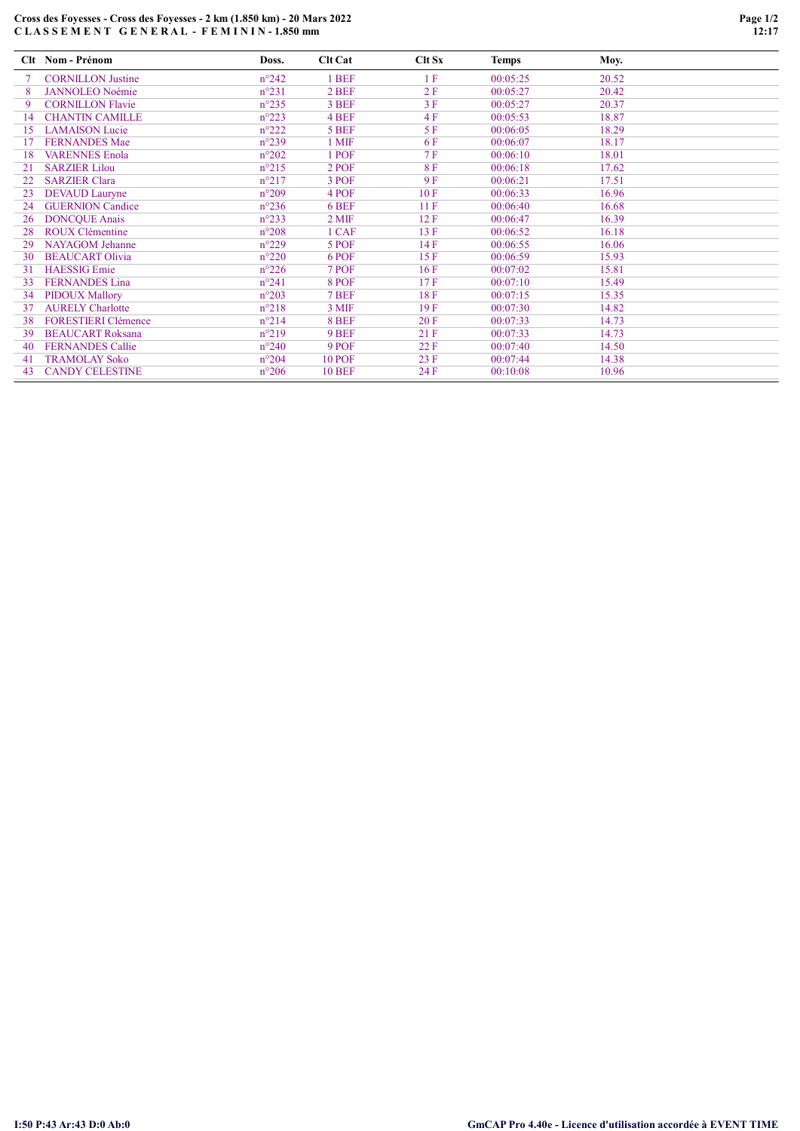# Cross des Foyesses - Cross des Foyesses - 2 km (1.850 km) - 20 Mars 2022 C L A S S E M E N T G E N E R A L - F E M I N I N - 1.850 mm

|     | Clt Nom - Prénom           | Doss.          | <b>Clt Cat</b> | $C$ It $Sx$ | <b>Temps</b> | Moy.  |
|-----|----------------------------|----------------|----------------|-------------|--------------|-------|
|     | <b>CORNILLON Justine</b>   | $n^{\circ}242$ | 1 BEF          | 1F          | 00:05:25     | 20.52 |
| 8   | <b>JANNOLEO Noémie</b>     | $n^{\circ}231$ | 2 BEF          | 2F          | 00:05:27     | 20.42 |
| 9   | <b>CORNILLON Flavie</b>    | $n^{\circ}235$ | 3 BEF          | 3F          | 00:05:27     | 20.37 |
| 14  | <b>CHANTIN CAMILLE</b>     | $n^{\circ}223$ | 4 BEF          | 4F          | 00:05:53     | 18.87 |
| 15  | <b>LAMAISON</b> Lucie      | $n^{\circ}222$ | 5 BEF          | 5F          | 00:06:05     | 18.29 |
|     | <b>FERNANDES Mae</b>       | $n^{\circ}239$ | 1 MIF          | 6 F         | 00:06:07     | 18.17 |
| 18  | <b>VARENNES Enola</b>      | $n^{\circ}202$ | 1 POF          | 7F          | 00:06:10     | 18.01 |
| 21  | <b>SARZIER Lilou</b>       | $n^{\circ}215$ | 2 POF          | <b>8F</b>   | 00:06:18     | 17.62 |
| 22  | <b>SARZIER Clara</b>       | $n^{\circ}217$ | 3 POF          | 9F          | 00:06:21     | 17.51 |
| 23  | <b>DEVAUD</b> Lauryne      | $n^{\circ}209$ | 4 POF          | 10F         | 00:06:33     | 16.96 |
| 24  | <b>GUERNION Candice</b>    | $n^{\circ}236$ | 6 BEF          | 11F         | 00:06:40     | 16.68 |
| 26  | <b>DONCOUE Anais</b>       | $n^{\circ}233$ | $2$ MIF        | 12F         | 00:06:47     | 16.39 |
| 28  | ROUX Clémentine            | $n^{\circ}208$ | 1 CAF          | 13 F        | 00:06:52     | 16.18 |
| 29  | <b>NAYAGOM</b> Jehanne     | $n^{\circ}229$ | 5 POF          | 14 F        | 00:06:55     | 16.06 |
| 30  | <b>BEAUCART Olivia</b>     | $n^{\circ}220$ | 6 POF          | 15F         | 00:06:59     | 15.93 |
| 31  | <b>HAESSIG</b> Emie        | $n^{\circ}226$ | 7 POF          | 16F         | 00:07:02     | 15.81 |
| 33  | <b>FERNANDES</b> Lina      | $n^{\circ}241$ | 8 POF          | 17F         | 00:07:10     | 15.49 |
| 34  | <b>PIDOUX Mallory</b>      | $n^{\circ}203$ | 7 BEF          | 18F         | 00:07:15     | 15.35 |
| 37  | <b>AURELY Charlotte</b>    | $n^{\circ}218$ | 3 MIF          | 19F         | 00:07:30     | 14.82 |
| 38  | <b>FORESTIERI Clémence</b> | $n^{\circ}214$ | 8 BEF          | 20F         | 00:07:33     | 14.73 |
| 39  | <b>BEAUCART Roksana</b>    | $n^{\circ}219$ | 9 BEF          | 21F         | 00:07:33     | 14.73 |
| 40  | <b>FERNANDES Callie</b>    | $n^{\circ}240$ | 9 POF          | 22 F        | 00:07:40     | 14.50 |
| -41 | <b>TRAMOLAY Soko</b>       | $n^{\circ}204$ | <b>10 POF</b>  | 23 F        | 00:07:44     | 14.38 |
| 43  | <b>CANDY CELESTINE</b>     | $n^{\circ}206$ | <b>10 BEF</b>  | 24 F        | 00:10:08     | 10.96 |